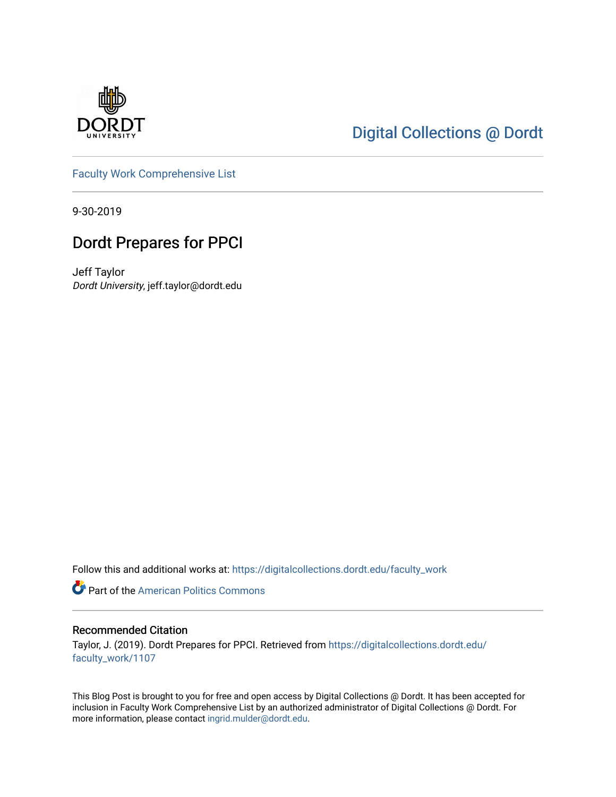

## [Digital Collections @ Dordt](https://digitalcollections.dordt.edu/)

[Faculty Work Comprehensive List](https://digitalcollections.dordt.edu/faculty_work)

9-30-2019

## Dordt Prepares for PPCI

Jeff Taylor Dordt University, jeff.taylor@dordt.edu

Follow this and additional works at: [https://digitalcollections.dordt.edu/faculty\\_work](https://digitalcollections.dordt.edu/faculty_work?utm_source=digitalcollections.dordt.edu%2Ffaculty_work%2F1107&utm_medium=PDF&utm_campaign=PDFCoverPages) 

**Part of the American Politics Commons** 

#### Recommended Citation

Taylor, J. (2019). Dordt Prepares for PPCI. Retrieved from [https://digitalcollections.dordt.edu/](https://digitalcollections.dordt.edu/faculty_work/1107?utm_source=digitalcollections.dordt.edu%2Ffaculty_work%2F1107&utm_medium=PDF&utm_campaign=PDFCoverPages) [faculty\\_work/1107](https://digitalcollections.dordt.edu/faculty_work/1107?utm_source=digitalcollections.dordt.edu%2Ffaculty_work%2F1107&utm_medium=PDF&utm_campaign=PDFCoverPages) 

This Blog Post is brought to you for free and open access by Digital Collections @ Dordt. It has been accepted for inclusion in Faculty Work Comprehensive List by an authorized administrator of Digital Collections @ Dordt. For more information, please contact [ingrid.mulder@dordt.edu.](mailto:ingrid.mulder@dordt.edu)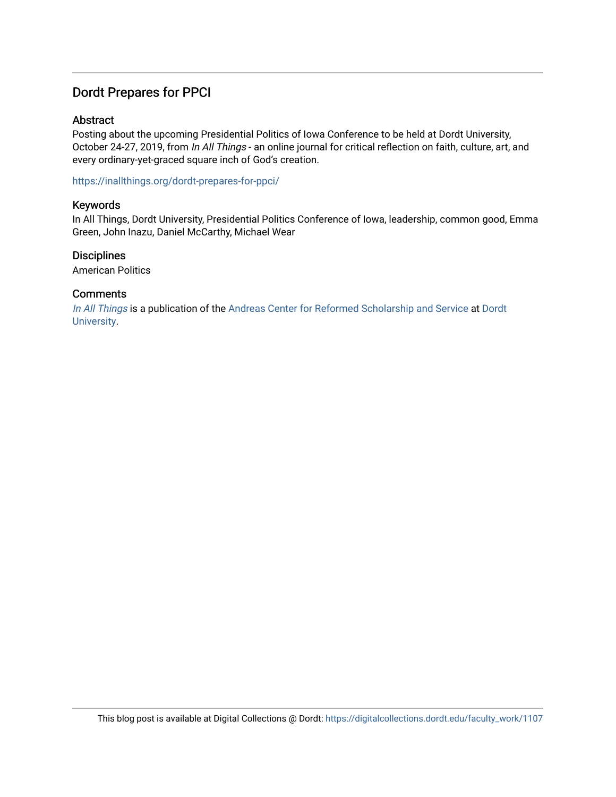### Dordt Prepares for PPCI

#### Abstract

Posting about the upcoming Presidential Politics of Iowa Conference to be held at Dordt University, October 24-27, 2019, from In All Things - an online journal for critical reflection on faith, culture, art, and every ordinary-yet-graced square inch of God's creation.

<https://inallthings.org/dordt-prepares-for-ppci/>

#### Keywords

In All Things, Dordt University, Presidential Politics Conference of Iowa, leadership, common good, Emma Green, John Inazu, Daniel McCarthy, Michael Wear

#### **Disciplines**

American Politics

#### **Comments**

[In All Things](http://inallthings.org/) is a publication of the [Andreas Center for Reformed Scholarship and Service](http://www.dordt.edu/services_support/andreas_center/) at Dordt [University](http://www.dordt.edu/).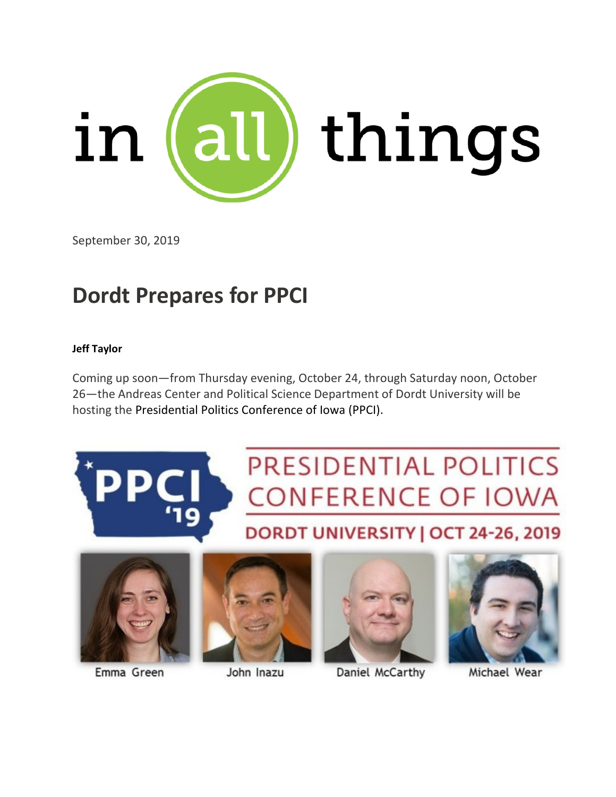

September 30, 2019

# **Dordt Prepares for PPCI**

#### **Jeff Taylor**

Coming up soon—from Thursday evening, October 24, through Saturday noon, October 26—the Andreas Center and Political Science Department of Dordt University will be hosting the Presidential Politics Conference of Iowa (PPCI).





Emma Green



John Inazu



Daniel McCarthy



Michael Wear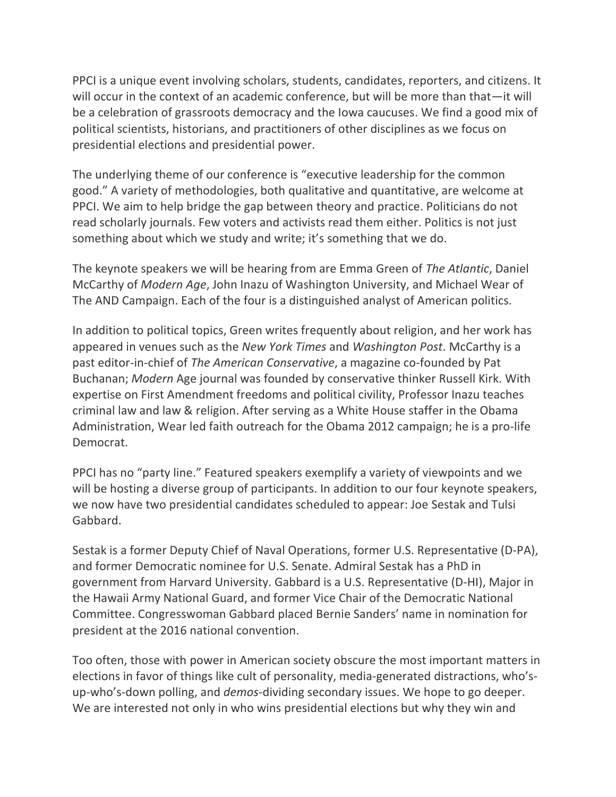PPCI is a unique event involving scholars, students, candidates, reporters, and citizens. It will occur in the context of an academic conference, but will be more than that—it will be a celebration of grassroots democracy and the Iowa caucuses. We find a good mix of political scientists, historians, and practitioners of other disciplines as we focus on presidential elections and presidential power.

The underlying theme of our conference is "executive leadership for the common good." A variety of methodologies, both qualitative and quantitative, are welcome at PPCI. We aim to help bridge the gap between theory and practice. Politicians do not read scholarly journals. Few voters and activists read them either. Politics is not just something about which we study and write; it's something that we do.

The keynote speakers we will be hearing from are Emma Green of *The Atlantic*, Daniel McCarthy of *Modern Age*, John Inazu of Washington University, and Michael Wear of The AND Campaign. Each of the four is a distinguished analyst of American politics.

In addition to political topics, Green writes frequently about religion, and her work has appeared in venues such as the *New York Times* and *Washington Post*. McCarthy is a past editor-in-chief of *The American Conservative*, a magazine co-founded by Pat Buchanan; *Modern* Age journal was founded by conservative thinker Russell Kirk. With expertise on First Amendment freedoms and political civility, Professor Inazu teaches criminal law and law & religion. After serving as a White House staffer in the Obama Administration, Wear led faith outreach for the Obama 2012 campaign; he is a pro-life Democrat.

PPCI has no "party line." Featured speakers exemplify a variety of viewpoints and we will be hosting a diverse group of participants. In addition to our four keynote speakers, we now have two presidential candidates scheduled to appear: Joe Sestak and Tulsi Gabbard.

Sestak is a former Deputy Chief of Naval Operations, former U.S. Representative (D-PA), and former Democratic nominee for U.S. Senate. Admiral Sestak has a PhD in government from Harvard University. Gabbard is a U.S. Representative (D-HI), Major in the Hawaii Army National Guard, and former Vice Chair of the Democratic National Committee. Congresswoman Gabbard placed Bernie Sanders' name in nomination for president at the 2016 national convention.

Too often, those with power in American society obscure the most important matters in elections in favor of things like cult of personality, media-generated distractions, who'sup-who's-down polling, and *demos*-dividing secondary issues. We hope to go deeper. We are interested not only in who wins presidential elections but why they win and